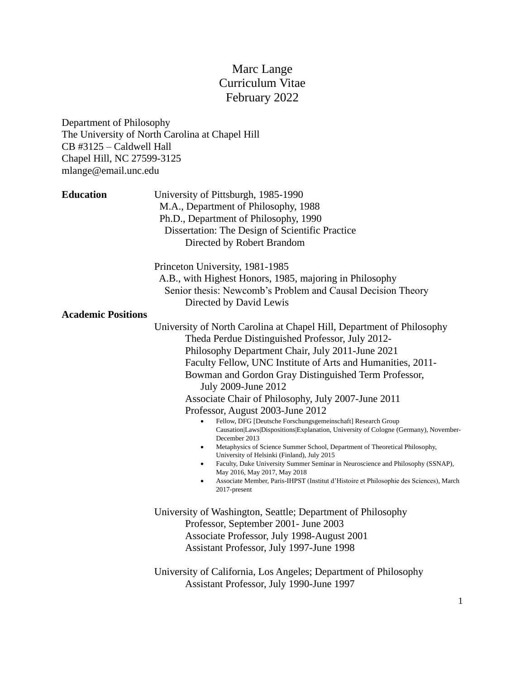# Marc Lange Curriculum Vitae February 2022

Department of Philosophy The University of North Carolina at Chapel Hill CB #3125 – Caldwell Hall Chapel Hill, NC 27599-3125 mlange@email.unc.edu

| <b>Education</b>          | University of Pittsburgh, 1985-1990<br>M.A., Department of Philosophy, 1988<br>Ph.D., Department of Philosophy, 1990<br>Dissertation: The Design of Scientific Practice<br>Directed by Robert Brandom                                                                                                                                                                                                                                                                                                                                                                                                                                                                                                                                                                                                                                                                                                                                                                 |
|---------------------------|-----------------------------------------------------------------------------------------------------------------------------------------------------------------------------------------------------------------------------------------------------------------------------------------------------------------------------------------------------------------------------------------------------------------------------------------------------------------------------------------------------------------------------------------------------------------------------------------------------------------------------------------------------------------------------------------------------------------------------------------------------------------------------------------------------------------------------------------------------------------------------------------------------------------------------------------------------------------------|
|                           | Princeton University, 1981-1985<br>A.B., with Highest Honors, 1985, majoring in Philosophy<br>Senior thesis: Newcomb's Problem and Causal Decision Theory<br>Directed by David Lewis                                                                                                                                                                                                                                                                                                                                                                                                                                                                                                                                                                                                                                                                                                                                                                                  |
| <b>Academic Positions</b> | University of North Carolina at Chapel Hill, Department of Philosophy<br>Theda Perdue Distinguished Professor, July 2012-<br>Philosophy Department Chair, July 2011-June 2021<br>Faculty Fellow, UNC Institute of Arts and Humanities, 2011-<br>Bowman and Gordon Gray Distinguished Term Professor,<br>July 2009-June 2012<br>Associate Chair of Philosophy, July 2007-June 2011<br>Professor, August 2003-June 2012<br>Fellow, DFG [Deutsche Forschungsgemeinschaft] Research Group<br>Causation Laws Dispositions Explanation, University of Cologne (Germany), November-<br>December 2013<br>Metaphysics of Science Summer School, Department of Theoretical Philosophy,<br>$\bullet$<br>University of Helsinki (Finland), July 2015<br>Faculty, Duke University Summer Seminar in Neuroscience and Philosophy (SSNAP),<br>May 2016, May 2017, May 2018<br>Associate Member, Paris-IHPST (Institut d'Histoire et Philosophie des Sciences), March<br>2017-present |
|                           | University of Washington, Seattle; Department of Philosophy<br>Professor, September 2001- June 2003<br>Associate Professor, July 1998-August 2001<br>Assistant Professor, July 1997-June 1998                                                                                                                                                                                                                                                                                                                                                                                                                                                                                                                                                                                                                                                                                                                                                                         |
|                           | University of California, Los Angeles; Department of Philosophy<br>Assistant Professor, July 1990-June 1997                                                                                                                                                                                                                                                                                                                                                                                                                                                                                                                                                                                                                                                                                                                                                                                                                                                           |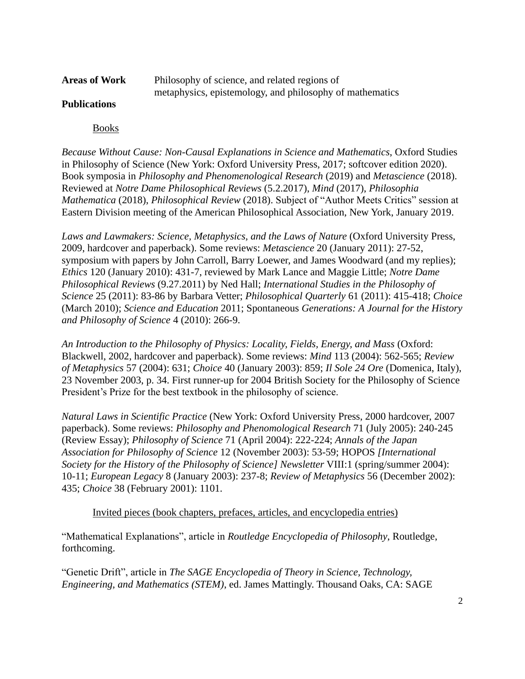| <b>Areas of Work</b> | Philosophy of science, and related regions of            |
|----------------------|----------------------------------------------------------|
|                      | metaphysics, epistemology, and philosophy of mathematics |

# **Publications**

Books

*Because Without Cause: Non-Causal Explanations in Science and Mathematics*, Oxford Studies in Philosophy of Science (New York: Oxford University Press, 2017; softcover edition 2020). Book symposia in *Philosophy and Phenomenological Research* (2019) and *Metascience* (2018). Reviewed at *Notre Dame Philosophical Reviews* (5.2.2017), *Mind* (2017), *Philosophia Mathematica* (2018), *Philosophical Review* (2018). Subject of "Author Meets Critics" session at Eastern Division meeting of the American Philosophical Association, New York, January 2019.

*Laws and Lawmakers: Science, Metaphysics, and the Laws of Nature* (Oxford University Press, 2009, hardcover and paperback). Some reviews: *Metascience* 20 (January 2011): 27-52, symposium with papers by John Carroll, Barry Loewer, and James Woodward (and my replies); *Ethics* 120 (January 2010): 431-7, reviewed by Mark Lance and Maggie Little; *Notre Dame Philosophical Reviews* (9.27.2011) by Ned Hall; *International Studies in the Philosophy of Science* 25 (2011): 83-86 by Barbara Vetter; *Philosophical Quarterly* 61 (2011): 415-418; *Choice* (March 2010); *Science and Education* 2011; Spontaneous *Generations: A Journal for the History and Philosophy of Science* 4 (2010): 266-9.

*An Introduction to the Philosophy of Physics: Locality, Fields, Energy, and Mass* (Oxford: Blackwell, 2002, hardcover and paperback). Some reviews: *Mind* 113 (2004): 562-565; *Review of Metaphysics* 57 (2004): 631; *Choice* 40 (January 2003): 859; *Il Sole 24 Ore* (Domenica, Italy), 23 November 2003, p. 34. First runner-up for 2004 British Society for the Philosophy of Science President's Prize for the best textbook in the philosophy of science.

*Natural Laws in Scientific Practice* (New York: Oxford University Press, 2000 hardcover, 2007 paperback). Some reviews: *Philosophy and Phenomological Research* 71 (July 2005): 240-245 (Review Essay); *Philosophy of Science* 71 (April 2004): 222-224; *Annals of the Japan Association for Philosophy of Science* 12 (November 2003): 53-59; HOPOS *[International Society for the History of the Philosophy of Science] Newsletter* VIII:1 (spring/summer 2004): 10-11; *European Legacy* 8 (January 2003): 237-8; *Review of Metaphysics* 56 (December 2002): 435; *Choice* 38 (February 2001): 1101.

Invited pieces (book chapters, prefaces, articles, and encyclopedia entries)

"Mathematical Explanations", article in *Routledge Encyclopedia of Philosophy*, Routledge, forthcoming.

"Genetic Drift", article in *The SAGE Encyclopedia of Theory in Science, Technology, Engineering, and Mathematics (STEM)*, ed. James Mattingly. Thousand Oaks, CA: SAGE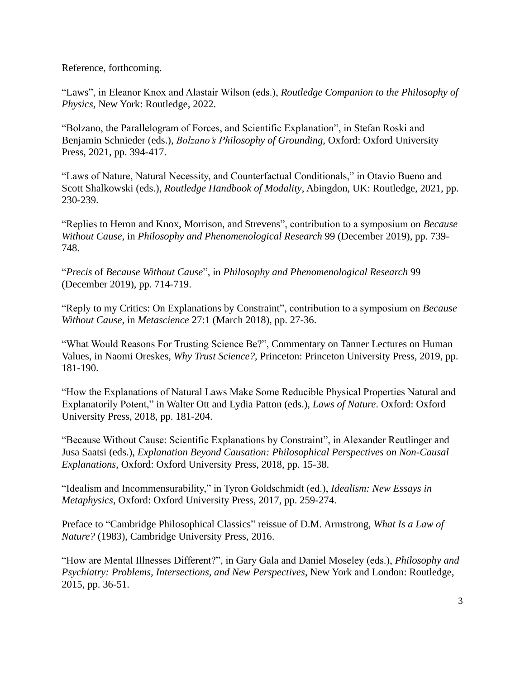Reference, forthcoming.

"Laws", in Eleanor Knox and Alastair Wilson (eds.), *Routledge Companion to the Philosophy of Physics*, New York: Routledge, 2022.

"Bolzano, the Parallelogram of Forces, and Scientific Explanation", in Stefan Roski and Benjamin Schnieder (eds.), *Bolzano's Philosophy of Grounding*, Oxford: Oxford University Press, 2021, pp. 394-417.

"Laws of Nature, Natural Necessity, and Counterfactual Conditionals," in Otavio Bueno and Scott Shalkowski (eds.), *Routledge Handbook of Modality*, Abingdon, UK: Routledge, 2021, pp. 230-239.

"Replies to Heron and Knox, Morrison, and Strevens", contribution to a symposium on *Because Without Cause*, in *Philosophy and Phenomenological Research* 99 (December 2019), pp. 739- 748.

"*Precis* of *Because Without Cause*", in *Philosophy and Phenomenological Research* 99 (December 2019), pp. 714-719.

"Reply to my Critics: On Explanations by Constraint", contribution to a symposium on *Because Without Cause*, in *Metascience* 27:1 (March 2018), pp. 27-36.

"What Would Reasons For Trusting Science Be?", Commentary on Tanner Lectures on Human Values, in Naomi Oreskes, *Why Trust Science?*, Princeton: Princeton University Press, 2019, pp. 181-190.

"How the Explanations of Natural Laws Make Some Reducible Physical Properties Natural and Explanatorily Potent," in Walter Ott and Lydia Patton (eds.), *Laws of Nature*. Oxford: Oxford University Press, 2018, pp. 181-204.

"Because Without Cause: Scientific Explanations by Constraint", in Alexander Reutlinger and Jusa Saatsi (eds.), *Explanation Beyond Causation: Philosophical Perspectives on Non-Causal Explanations*, Oxford: Oxford University Press, 2018, pp. 15-38.

"Idealism and Incommensurability," in Tyron Goldschmidt (ed.), *Idealism: New Essays in Metaphysics*, Oxford: Oxford University Press, 2017, pp. 259-274.

Preface to "Cambridge Philosophical Classics" reissue of D.M. Armstrong, *What Is a Law of Nature?* (1983), Cambridge University Press, 2016.

"How are Mental Illnesses Different?", in Gary Gala and Daniel Moseley (eds.), *Philosophy and Psychiatry: Problems, Intersections, and New Perspectives*, New York and London: Routledge, 2015, pp. 36-51.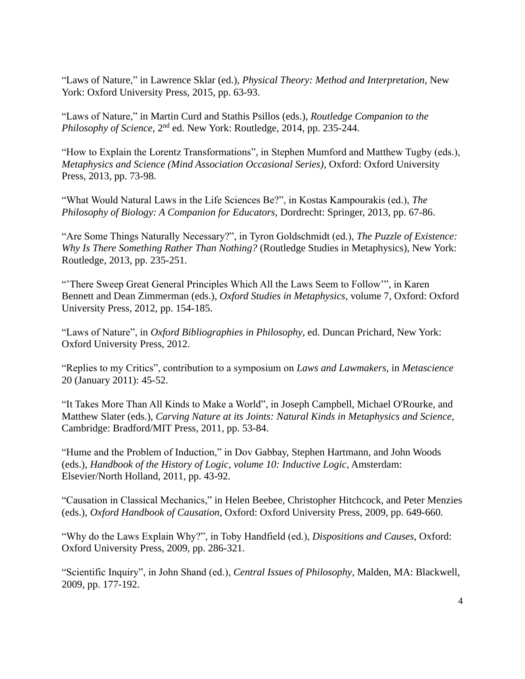"Laws of Nature," in Lawrence Sklar (ed.), *Physical Theory: Method and Interpretation*, New York: Oxford University Press, 2015, pp. 63-93.

"Laws of Nature," in Martin Curd and Stathis Psillos (eds.), *Routledge Companion to the Philosophy of Science*, 2nd ed. New York: Routledge, 2014, pp. 235-244.

"How to Explain the Lorentz Transformations", in Stephen Mumford and Matthew Tugby (eds.), *Metaphysics and Science (Mind Association Occasional Series)*, Oxford: Oxford University Press, 2013, pp. 73-98.

"What Would Natural Laws in the Life Sciences Be?", in Kostas Kampourakis (ed.), *The Philosophy of Biology: A Companion for Educators*, Dordrecht: Springer, 2013, pp. 67-86.

"Are Some Things Naturally Necessary?", in Tyron Goldschmidt (ed.), *The Puzzle of Existence: Why Is There Something Rather Than Nothing?* (Routledge Studies in Metaphysics), New York: Routledge, 2013, pp. 235-251.

"'There Sweep Great General Principles Which All the Laws Seem to Follow'", in Karen Bennett and Dean Zimmerman (eds.), *Oxford Studies in Metaphysics*, volume 7, Oxford: Oxford University Press, 2012, pp. 154-185.

"Laws of Nature", in *Oxford Bibliographies in Philosophy*, ed. Duncan Prichard, New York: Oxford University Press, 2012.

"Replies to my Critics", contribution to a symposium on *Laws and Lawmakers*, in *Metascience* 20 (January 2011): 45-52.

"It Takes More Than All Kinds to Make a World", in Joseph Campbell, Michael O'Rourke, and Matthew Slater (eds.), *Carving Nature at its Joints: Natural Kinds in Metaphysics and Science,*  Cambridge: Bradford/MIT Press, 2011, pp. 53-84.

"Hume and the Problem of Induction," in Dov Gabbay, Stephen Hartmann, and John Woods (eds.), *Handbook of the History of Logic, volume 10: Inductive Logic*, Amsterdam: Elsevier/North Holland, 2011, pp. 43-92.

"Causation in Classical Mechanics," in Helen Beebee, Christopher Hitchcock, and Peter Menzies (eds.), *Oxford Handbook of Causation*, Oxford: Oxford University Press, 2009, pp. 649-660.

"Why do the Laws Explain Why?", in Toby Handfield (ed.), *Dispositions and Causes*, Oxford: Oxford University Press, 2009, pp. 286-321.

"Scientific Inquiry", in John Shand (ed.), *Central Issues of Philosophy*, Malden, MA: Blackwell, 2009, pp. 177-192.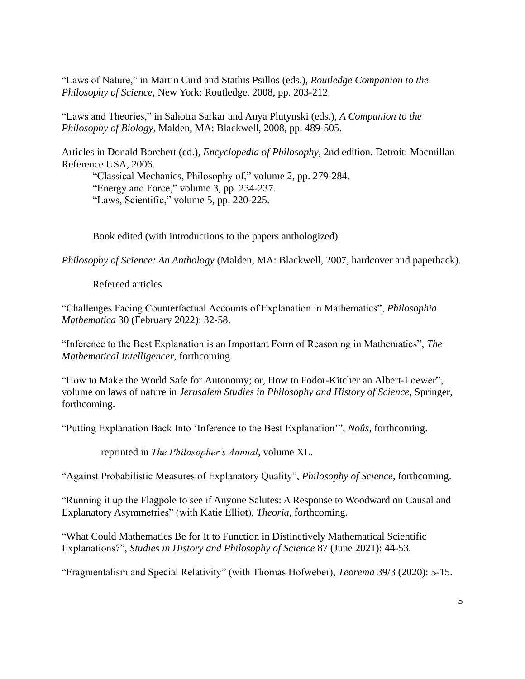"Laws of Nature," in Martin Curd and Stathis Psillos (eds.), *Routledge Companion to the Philosophy of Science*, New York: Routledge, 2008, pp. 203-212.

"Laws and Theories," in Sahotra Sarkar and Anya Plutynski (eds.), *A Companion to the Philosophy of Biology*, Malden, MA: Blackwell, 2008, pp. 489-505.

Articles in Donald Borchert (ed.), *Encyclopedia of Philosophy,* 2nd edition. Detroit: Macmillan Reference USA, 2006.

"Classical Mechanics, Philosophy of," volume 2, pp. 279-284. "Energy and Force," volume 3, pp. 234-237. "Laws, Scientific," volume 5, pp. 220-225.

# Book edited (with introductions to the papers anthologized)

*Philosophy of Science: An Anthology* (Malden, MA: Blackwell, 2007, hardcover and paperback).

# Refereed articles

"Challenges Facing Counterfactual Accounts of Explanation in Mathematics", *Philosophia Mathematica* 30 (February 2022): 32-58.

"Inference to the Best Explanation is an Important Form of Reasoning in Mathematics", *The Mathematical Intelligencer*, forthcoming.

"How to Make the World Safe for Autonomy; or, How to Fodor-Kitcher an Albert-Loewer", volume on laws of nature in *Jerusalem Studies in Philosophy and History of Science*, Springer, forthcoming.

"Putting Explanation Back Into 'Inference to the Best Explanation'", *Noûs*, forthcoming.

reprinted in *The Philosopher's Annual*, volume XL.

"Against Probabilistic Measures of Explanatory Quality", *Philosophy of Science*, forthcoming.

"Running it up the Flagpole to see if Anyone Salutes: A Response to Woodward on Causal and Explanatory Asymmetries" (with Katie Elliot), *Theoria*, forthcoming.

"What Could Mathematics Be for It to Function in Distinctively Mathematical Scientific Explanations?", *Studies in History and Philosophy of Science* 87 (June 2021): 44-53.

"Fragmentalism and Special Relativity" (with Thomas Hofweber), *Teorema* 39/3 (2020): 5-15.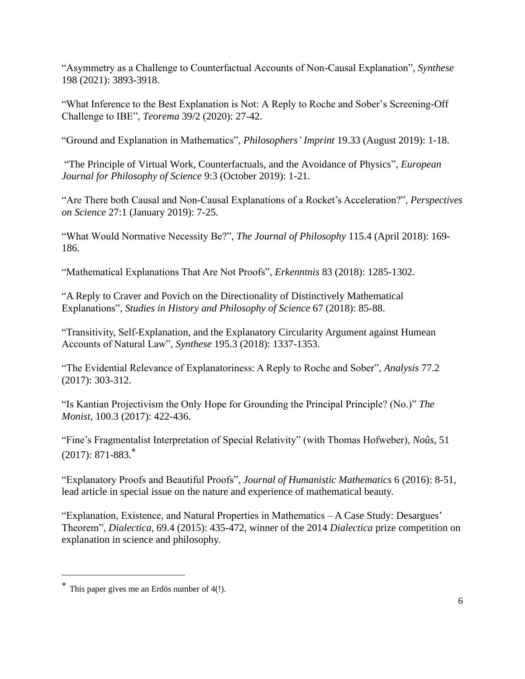"Asymmetry as a Challenge to Counterfactual Accounts of Non-Causal Explanation", *Synthese* 198 (2021): 3893-3918.

"What Inference to the Best Explanation is Not: A Reply to Roche and Sober's Screening-Off Challenge to IBE", *Teorema* 39/2 (2020): 27-42.

"Ground and Explanation in Mathematics", *Philosophers' Imprint* 19.33 (August 2019): 1-18.

"The Principle of Virtual Work, Counterfactuals, and the Avoidance of Physics", *European Journal for Philosophy of Science* 9:3 (October 2019): 1-21.

"Are There both Causal and Non-Causal Explanations of a Rocket's Acceleration?", *Perspectives on Science* 27:1 (January 2019): 7-25.

"What Would Normative Necessity Be?", *The Journal of Philosophy* 115.4 (April 2018): 169- 186.

"Mathematical Explanations That Are Not Proofs", *Erkenntnis* 83 (2018): 1285-1302.

"A Reply to Craver and Povich on the Directionality of Distinctively Mathematical Explanations", *Studies in History and Philosophy of Science* 67 (2018): 85-88.

"Transitivity, Self-Explanation, and the Explanatory Circularity Argument against Humean Accounts of Natural Law", *Synthese* 195.3 (2018): 1337-1353.

"The Evidential Relevance of Explanatoriness: A Reply to Roche and Sober", *Analysis* 77.2 (2017): 303-312.

"Is Kantian Projectivism the Only Hope for Grounding the Principal Principle? (No.)" *The Monist*, 100.3 (2017): 422-436.

"Fine's Fragmentalist Interpretation of Special Relativity" (with Thomas Hofweber), *Noûs*, 51  $(2017): 871-883.<sup>*</sup>$ 

"Explanatory Proofs and Beautiful Proofs", *Journal of Humanistic Mathematics* 6 (2016): 8-51, lead article in special issue on the nature and experience of mathematical beauty.

"Explanation, Existence, and Natural Properties in Mathematics – A Case Study: Desargues' Theorem", *Dialectica*, 69.4 (2015): 435-472, winner of the 2014 *Dialectica* prize competition on explanation in science and philosophy.

<sup>\*</sup> This paper gives me an Erdös number of 4(!).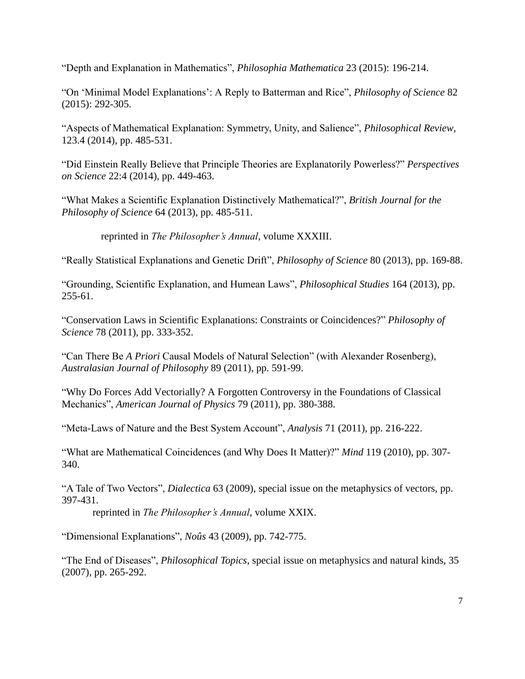"Depth and Explanation in Mathematics", *Philosophia Mathematica* 23 (2015): 196-214.

"On 'Minimal Model Explanations': A Reply to Batterman and Rice", *Philosophy of Science* 82 (2015): 292-305.

"Aspects of Mathematical Explanation: Symmetry, Unity, and Salience", *Philosophical Review*, 123.4 (2014), pp. 485-531.

"Did Einstein Really Believe that Principle Theories are Explanatorily Powerless?" *Perspectives on Science* 22:4 (2014), pp. 449-463.

"What Makes a Scientific Explanation Distinctively Mathematical?", *British Journal for the Philosophy of Science* 64 (2013), pp. 485-511.

reprinted in *The Philosopher's Annual*, volume XXXIII.

"Really Statistical Explanations and Genetic Drift", *Philosophy of Science* 80 (2013), pp. 169-88.

"Grounding, Scientific Explanation, and Humean Laws", *Philosophical Studies* 164 (2013), pp. 255-61.

"Conservation Laws in Scientific Explanations: Constraints or Coincidences?" *Philosophy of Science* 78 (2011), pp. 333-352.

"Can There Be *A Priori* Causal Models of Natural Selection" (with Alexander Rosenberg), *Australasian Journal of Philosophy* 89 (2011), pp. 591-99.

"Why Do Forces Add Vectorially? A Forgotten Controversy in the Foundations of Classical Mechanics", *American Journal of Physics* 79 (2011), pp. 380-388.

"Meta-Laws of Nature and the Best System Account", *Analysis* 71 (2011), pp. 216-222.

"What are Mathematical Coincidences (and Why Does It Matter)?" *Mind* 119 (2010), pp. 307- 340.

"A Tale of Two Vectors", *Dialectica* 63 (2009), special issue on the metaphysics of vectors, pp. 397-431.

reprinted in *The Philosopher's Annual*, volume XXIX.

"Dimensional Explanations", *Noûs* 43 (2009), pp. 742-775.

"The End of Diseases", *Philosophical Topics*, special issue on metaphysics and natural kinds, 35 (2007), pp. 265-292.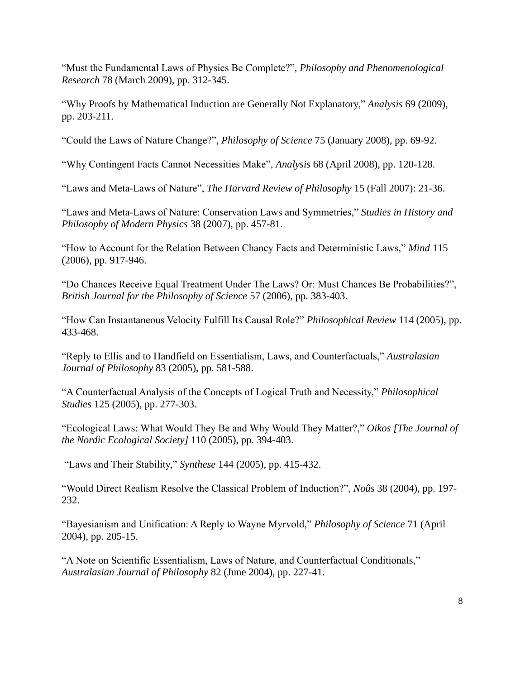"Must the Fundamental Laws of Physics Be Complete?", *Philosophy and Phenomenological Research* 78 (March 2009), pp. 312-345.

"Why Proofs by Mathematical Induction are Generally Not Explanatory," *Analysis* 69 (2009), pp. 203-211.

"Could the Laws of Nature Change?", *Philosophy of Science* 75 (January 2008), pp. 69-92.

"Why Contingent Facts Cannot Necessities Make", *Analysis* 68 (April 2008), pp. 120-128.

"Laws and Meta-Laws of Nature", *The Harvard Review of Philosophy* 15 (Fall 2007): 21-36.

"Laws and Meta-Laws of Nature: Conservation Laws and Symmetries," *Studies in History and Philosophy of Modern Physics* 38 (2007), pp. 457-81.

"How to Account for the Relation Between Chancy Facts and Deterministic Laws," *Mind* 115 (2006), pp. 917-946.

"Do Chances Receive Equal Treatment Under The Laws? Or: Must Chances Be Probabilities?", *British Journal for the Philosophy of Science* 57 (2006), pp. 383-403.

"How Can Instantaneous Velocity Fulfill Its Causal Role?" *Philosophical Review* 114 (2005), pp. 433-468.

"Reply to Ellis and to Handfield on Essentialism, Laws, and Counterfactuals," *Australasian Journal of Philosophy* 83 (2005), pp. 581-588.

"A Counterfactual Analysis of the Concepts of Logical Truth and Necessity," *Philosophical Studies* 125 (2005), pp. 277-303.

"Ecological Laws: What Would They Be and Why Would They Matter?," *Oikos [The Journal of the Nordic Ecological Society]* 110 (2005), pp. 394-403.

"Laws and Their Stability," *Synthese* 144 (2005), pp. 415-432.

"Would Direct Realism Resolve the Classical Problem of Induction?", *Noûs* 38 (2004), pp. 197- 232.

"Bayesianism and Unification: A Reply to Wayne Myrvold," *Philosophy of Science* 71 (April 2004), pp. 205-15.

"A Note on Scientific Essentialism, Laws of Nature, and Counterfactual Conditionals," *Australasian Journal of Philosophy* 82 (June 2004), pp. 227-41.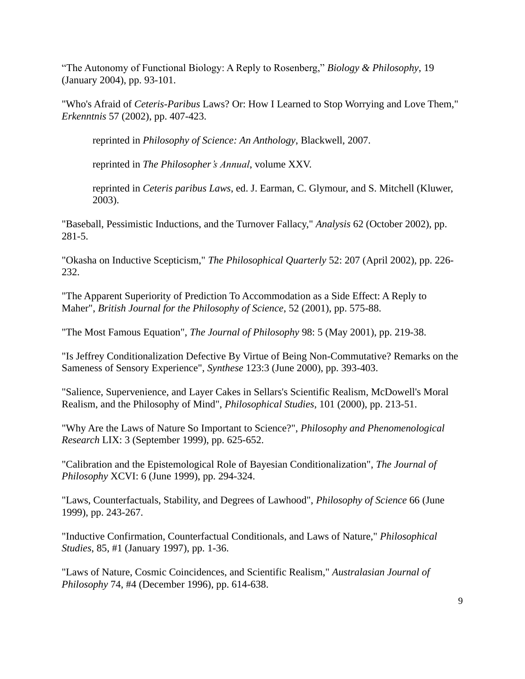"The Autonomy of Functional Biology: A Reply to Rosenberg," *Biology & Philosophy*, 19 (January 2004), pp. 93-101.

"Who's Afraid of *Ceteris-Paribus* Laws? Or: How I Learned to Stop Worrying and Love Them," *Erkenntnis* 57 (2002), pp. 407-423.

reprinted in *Philosophy of Science: An Anthology*, Blackwell, 2007.

reprinted in *The Philosopher's Annual*, volume XXV.

reprinted in *Ceteris paribus Laws*, ed. J. Earman, C. Glymour, and S. Mitchell (Kluwer, 2003).

"Baseball, Pessimistic Inductions, and the Turnover Fallacy," *Analysis* 62 (October 2002), pp. 281-5.

"Okasha on Inductive Scepticism," *The Philosophical Quarterly* 52: 207 (April 2002), pp. 226- 232.

"The Apparent Superiority of Prediction To Accommodation as a Side Effect: A Reply to Maher", *British Journal for the Philosophy of Science*, 52 (2001), pp. 575-88.

"The Most Famous Equation", *The Journal of Philosophy* 98: 5 (May 2001), pp. 219-38.

"Is Jeffrey Conditionalization Defective By Virtue of Being Non-Commutative? Remarks on the Sameness of Sensory Experience", *Synthese* 123:3 (June 2000), pp. 393-403.

"Salience, Supervenience, and Layer Cakes in Sellars's Scientific Realism, McDowell's Moral Realism, and the Philosophy of Mind", *Philosophical Studies*, 101 (2000), pp. 213-51.

"Why Are the Laws of Nature So Important to Science?", *Philosophy and Phenomenological Research* LIX: 3 (September 1999), pp. 625-652.

"Calibration and the Epistemological Role of Bayesian Conditionalization", *The Journal of Philosophy* XCVI: 6 (June 1999), pp. 294-324.

"Laws, Counterfactuals, Stability, and Degrees of Lawhood", *Philosophy of Science* 66 (June 1999), pp. 243-267.

"Inductive Confirmation, Counterfactual Conditionals, and Laws of Nature," *Philosophical Studies*, 85, #1 (January 1997), pp. 1-36.

"Laws of Nature, Cosmic Coincidences, and Scientific Realism," *Australasian Journal of Philosophy* 74, #4 (December 1996), pp. 614-638.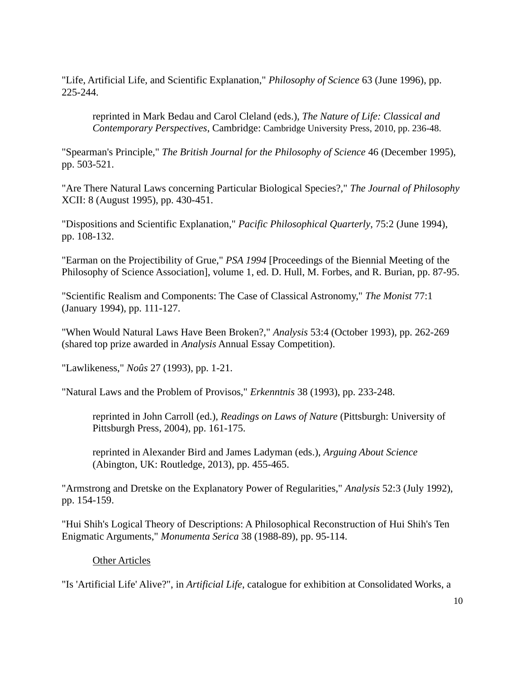"Life, Artificial Life, and Scientific Explanation," *Philosophy of Science* 63 (June 1996), pp. 225-244.

reprinted in Mark Bedau and Carol Cleland (eds.), *The Nature of Life: Classical and Contemporary Perspectives*, Cambridge: Cambridge University Press, 2010, pp. 236-48.

"Spearman's Principle," *The British Journal for the Philosophy of Science* 46 (December 1995), pp. 503-521.

"Are There Natural Laws concerning Particular Biological Species?," *The Journal of Philosophy* XCII: 8 (August 1995), pp. 430-451.

"Dispositions and Scientific Explanation," *Pacific Philosophical Quarterly*, 75:2 (June 1994), pp. 108-132.

"Earman on the Projectibility of Grue," *PSA 1994* [Proceedings of the Biennial Meeting of the Philosophy of Science Association], volume 1, ed. D. Hull, M. Forbes, and R. Burian, pp. 87-95.

"Scientific Realism and Components: The Case of Classical Astronomy," *The Monist* 77:1 (January 1994), pp. 111-127.

"When Would Natural Laws Have Been Broken?," *Analysis* 53:4 (October 1993), pp. 262-269 (shared top prize awarded in *Analysis* Annual Essay Competition).

"Lawlikeness," *Noûs* 27 (1993), pp. 1-21.

"Natural Laws and the Problem of Provisos," *Erkenntnis* 38 (1993), pp. 233-248.

reprinted in John Carroll (ed.), *Readings on Laws of Nature* (Pittsburgh: University of Pittsburgh Press, 2004), pp. 161-175.

reprinted in Alexander Bird and James Ladyman (eds.), *Arguing About Science* (Abington, UK: Routledge, 2013), pp. 455-465.

"Armstrong and Dretske on the Explanatory Power of Regularities," *Analysis* 52:3 (July 1992), pp. 154-159.

"Hui Shih's Logical Theory of Descriptions: A Philosophical Reconstruction of Hui Shih's Ten Enigmatic Arguments," *Monumenta Serica* 38 (1988-89), pp. 95-114.

Other Articles

"Is 'Artificial Life' Alive?", in *Artificial Life*, catalogue for exhibition at Consolidated Works, a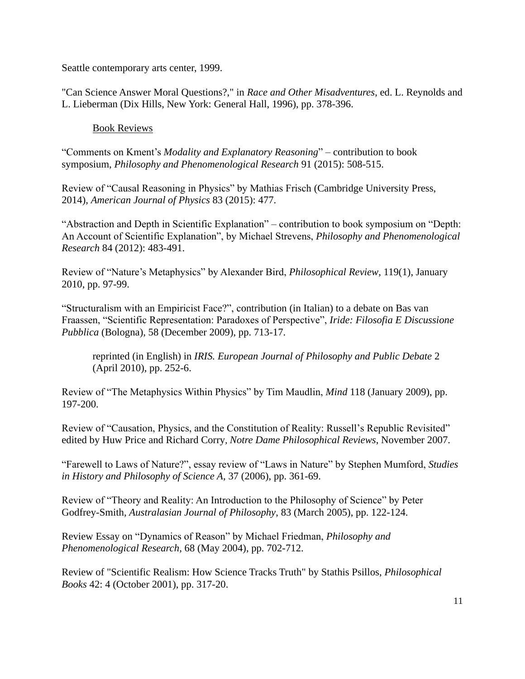Seattle contemporary arts center, 1999.

"Can Science Answer Moral Questions?," in *Race and Other Misadventures*, ed. L. Reynolds and L. Lieberman (Dix Hills, New York: General Hall, 1996), pp. 378-396.

# Book Reviews

"Comments on Kment's *Modality and Explanatory Reasoning*" – contribution to book symposium, *Philosophy and Phenomenological Research* 91 (2015): 508-515.

Review of "Causal Reasoning in Physics" by Mathias Frisch (Cambridge University Press, 2014), *American Journal of Physics* 83 (2015): 477.

"Abstraction and Depth in Scientific Explanation" – contribution to book symposium on "Depth: An Account of Scientific Explanation", by Michael Strevens, *Philosophy and Phenomenological Research* 84 (2012): 483-491.

Review of "Nature's Metaphysics" by Alexander Bird, *Philosophical Review*, 119(1), January 2010, pp. 97-99.

"Structuralism with an Empiricist Face?", contribution (in Italian) to a debate on Bas van Fraassen, "Scientific Representation: Paradoxes of Perspective", *Iride: Filosofia E Discussione Pubblica* (Bologna), 58 (December 2009), pp. 713-17.

reprinted (in English) in *IRIS. European Journal of Philosophy and Public Debate* 2 (April 2010), pp. 252-6.

Review of "The Metaphysics Within Physics" by Tim Maudlin, *Mind* 118 (January 2009), pp. 197-200.

Review of "Causation, Physics, and the Constitution of Reality: Russell's Republic Revisited" edited by Huw Price and Richard Corry, *Notre Dame Philosophical Reviews*, November 2007.

"Farewell to Laws of Nature?", essay review of "Laws in Nature" by Stephen Mumford, *Studies in History and Philosophy of Science A*, 37 (2006), pp. 361-69.

Review of "Theory and Reality: An Introduction to the Philosophy of Science" by Peter Godfrey-Smith, *Australasian Journal of Philosophy*, 83 (March 2005), pp. 122-124.

Review Essay on "Dynamics of Reason" by Michael Friedman, *Philosophy and Phenomenological Research*, 68 (May 2004), pp. 702-712.

Review of "Scientific Realism: How Science Tracks Truth" by Stathis Psillos, *Philosophical Books* 42: 4 (October 2001), pp. 317-20.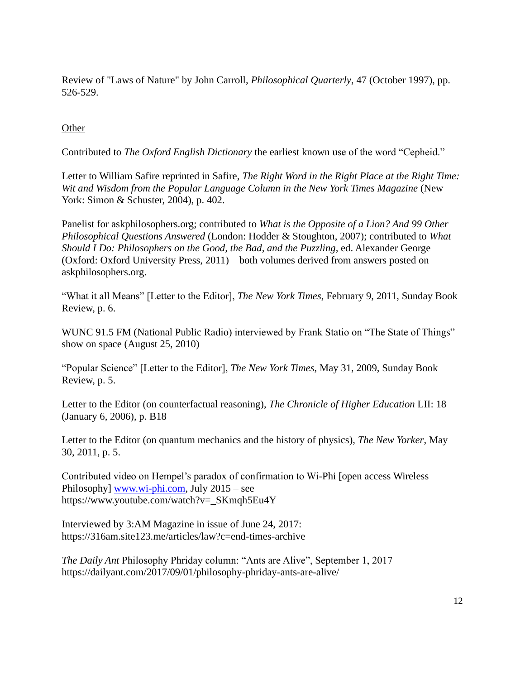Review of "Laws of Nature" by John Carroll, *Philosophical Quarterly*, 47 (October 1997), pp. 526-529.

# **Other**

Contributed to *The Oxford English Dictionary* the earliest known use of the word "Cepheid."

Letter to William Safire reprinted in Safire, *The Right Word in the Right Place at the Right Time: Wit and Wisdom from the Popular Language Column in the New York Times Magazine* (New York: Simon & Schuster, 2004), p. 402.

Panelist for askphilosophers.org; contributed to *What is the Opposite of a Lion? And 99 Other Philosophical Questions Answered* (London: Hodder & Stoughton, 2007); contributed to *What Should I Do: Philosophers on the Good, the Bad, and the Puzzling,* ed. Alexander George (Oxford: Oxford University Press, 2011) – both volumes derived from answers posted on askphilosophers.org.

"What it all Means" [Letter to the Editor], *The New York Times*, February 9, 2011, Sunday Book Review, p. 6.

WUNC 91.5 FM (National Public Radio) interviewed by Frank Statio on "The State of Things" show on space (August 25, 2010)

"Popular Science" [Letter to the Editor], *The New York Times*, May 31, 2009, Sunday Book Review, p. 5.

Letter to the Editor (on counterfactual reasoning), *The Chronicle of Higher Education* LII: 18 (January 6, 2006), p. B18

Letter to the Editor (on quantum mechanics and the history of physics), *The New Yorker*, May 30, 2011, p. 5.

Contributed video on Hempel's paradox of confirmation to Wi-Phi [open access Wireless Philosophy] [www.wi-phi.com,](http://www.wi-phi.com/) July 2015 – see https://www.youtube.com/watch?v=\_SKmqh5Eu4Y

Interviewed by 3:AM Magazine in issue of June 24, 2017: https://316am.site123.me/articles/law?c=end-times-archive

*The Daily Ant* Philosophy Phriday column: "Ants are Alive", September 1, 2017 https://dailyant.com/2017/09/01/philosophy-phriday-ants-are-alive/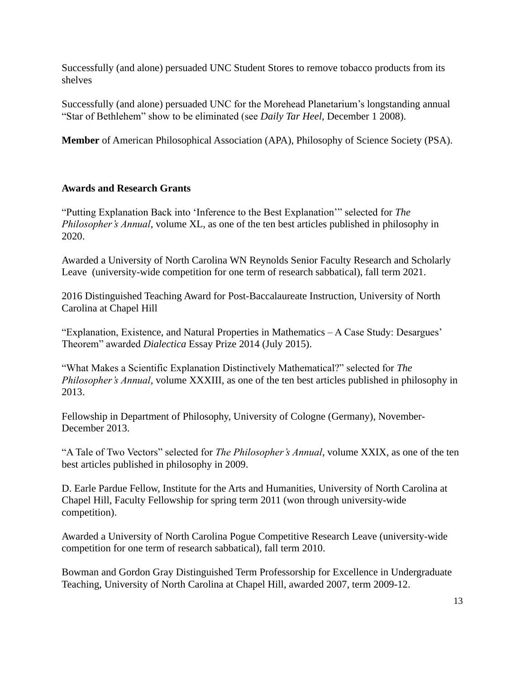Successfully (and alone) persuaded UNC Student Stores to remove tobacco products from its shelves

Successfully (and alone) persuaded UNC for the Morehead Planetarium's longstanding annual "Star of Bethlehem" show to be eliminated (see *Daily Tar Heel*, December 1 2008).

**Member** of American Philosophical Association (APA), Philosophy of Science Society (PSA).

# **Awards and Research Grants**

"Putting Explanation Back into 'Inference to the Best Explanation'" selected for *The Philosopher's Annual*, volume XL, as one of the ten best articles published in philosophy in 2020.

Awarded a University of North Carolina WN Reynolds Senior Faculty Research and Scholarly Leave (university-wide competition for one term of research sabbatical), fall term 2021.

2016 Distinguished Teaching Award for Post-Baccalaureate Instruction, University of North Carolina at Chapel Hill

"Explanation, Existence, and Natural Properties in Mathematics – A Case Study: Desargues' Theorem" awarded *Dialectica* Essay Prize 2014 (July 2015).

"What Makes a Scientific Explanation Distinctively Mathematical?" selected for *The Philosopher's Annual*, volume XXXIII, as one of the ten best articles published in philosophy in 2013.

Fellowship in Department of Philosophy, University of Cologne (Germany), November-December 2013.

"A Tale of Two Vectors" selected for *The Philosopher's Annual*, volume XXIX, as one of the ten best articles published in philosophy in 2009.

D. Earle Pardue Fellow, Institute for the Arts and Humanities, University of North Carolina at Chapel Hill, Faculty Fellowship for spring term 2011 (won through university-wide competition).

Awarded a University of North Carolina Pogue Competitive Research Leave (university-wide competition for one term of research sabbatical), fall term 2010.

Bowman and Gordon Gray Distinguished Term Professorship for Excellence in Undergraduate Teaching, University of North Carolina at Chapel Hill, awarded 2007, term 2009-12.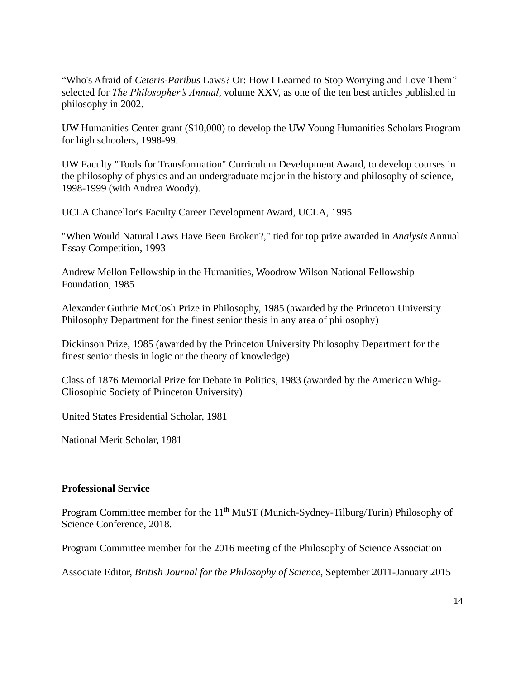"Who's Afraid of *Ceteris-Paribus* Laws? Or: How I Learned to Stop Worrying and Love Them" selected for *The Philosopher's Annual*, volume XXV, as one of the ten best articles published in philosophy in 2002.

UW Humanities Center grant (\$10,000) to develop the UW Young Humanities Scholars Program for high schoolers, 1998-99.

UW Faculty "Tools for Transformation" Curriculum Development Award, to develop courses in the philosophy of physics and an undergraduate major in the history and philosophy of science, 1998-1999 (with Andrea Woody).

UCLA Chancellor's Faculty Career Development Award, UCLA, 1995

"When Would Natural Laws Have Been Broken?," tied for top prize awarded in *Analysis* Annual Essay Competition, 1993

Andrew Mellon Fellowship in the Humanities, Woodrow Wilson National Fellowship Foundation, 1985

Alexander Guthrie McCosh Prize in Philosophy, 1985 (awarded by the Princeton University Philosophy Department for the finest senior thesis in any area of philosophy)

Dickinson Prize, 1985 (awarded by the Princeton University Philosophy Department for the finest senior thesis in logic or the theory of knowledge)

Class of 1876 Memorial Prize for Debate in Politics, 1983 (awarded by the American Whig-Cliosophic Society of Princeton University)

United States Presidential Scholar, 1981

National Merit Scholar, 1981

#### **Professional Service**

Program Committee member for the 11<sup>th</sup> MuST (Munich-Sydney-Tilburg/Turin) Philosophy of Science Conference, 2018.

Program Committee member for the 2016 meeting of the Philosophy of Science Association

Associate Editor, *British Journal for the Philosophy of Science*, September 2011-January 2015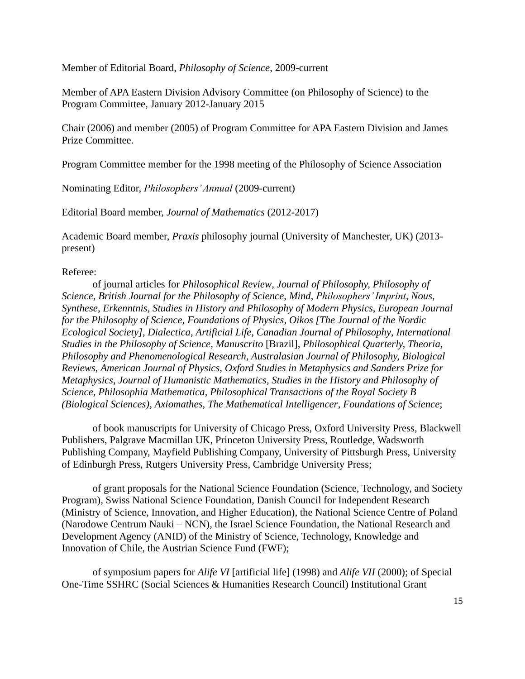Member of Editorial Board, *Philosophy of Science*, 2009-current

Member of APA Eastern Division Advisory Committee (on Philosophy of Science) to the Program Committee, January 2012-January 2015

Chair (2006) and member (2005) of Program Committee for APA Eastern Division and James Prize Committee.

Program Committee member for the 1998 meeting of the Philosophy of Science Association

Nominating Editor, *Philosophers' Annual* (2009-current)

Editorial Board member, *Journal of Mathematics* (2012-2017)

Academic Board member, *Praxis* philosophy journal (University of Manchester, UK) (2013 present)

## Referee:

of journal articles for *Philosophical Review*, *Journal of Philosophy, Philosophy of Science*, *British Journal for the Philosophy of Science*, *Mind*, *Philosophers' Imprint*, *Nous*, *Synthese*, *Erkenntnis*, *Studies in History and Philosophy of Modern Physics*, *European Journal for the Philosophy of Science, Foundations of Physics*, *Oikos [The Journal of the Nordic Ecological Society], Dialectica*, *Artificial Life*, *Canadian Journal of Philosophy*, *International Studies in the Philosophy of Science, Manuscrito* [Brazil], *Philosophical Quarterly, Theoria, Philosophy and Phenomenological Research, Australasian Journal of Philosophy, Biological Reviews*, *American Journal of Physics*, *Oxford Studies in Metaphysics and Sanders Prize for Metaphysics*, *Journal of Humanistic Mathematics*, *Studies in the History and Philosophy of Science, Philosophia Mathematica, Philosophical Transactions of the Royal Society B (Biological Sciences)*, *Axiomathes*, *The Mathematical Intelligencer*, *Foundations of Science*;

of book manuscripts for University of Chicago Press, Oxford University Press, Blackwell Publishers, Palgrave Macmillan UK, Princeton University Press, Routledge, Wadsworth Publishing Company, Mayfield Publishing Company, University of Pittsburgh Press, University of Edinburgh Press, Rutgers University Press, Cambridge University Press;

of grant proposals for the National Science Foundation (Science, Technology, and Society Program), Swiss National Science Foundation, Danish Council for Independent Research (Ministry of Science, Innovation, and Higher Education), the National Science Centre of Poland (Narodowe Centrum Nauki – NCN), the Israel Science Foundation, the National Research and Development Agency (ANID) of the Ministry of Science, Technology, Knowledge and Innovation of Chile, the Austrian Science Fund (FWF);

of symposium papers for *Alife VI* [artificial life] (1998) and *Alife VII* (2000); of Special One-Time SSHRC (Social Sciences & Humanities Research Council) Institutional Grant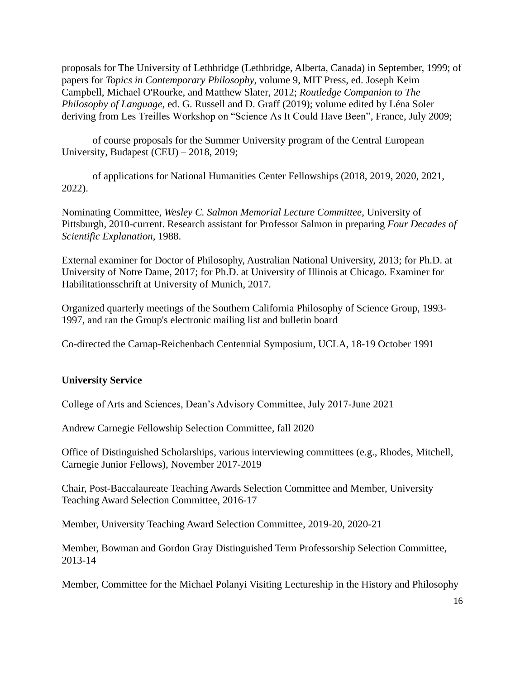proposals for The University of Lethbridge (Lethbridge, Alberta, Canada) in September, 1999; of papers for *Topics in Contemporary Philosophy*, volume 9, MIT Press, ed. Joseph Keim Campbell, Michael O'Rourke, and Matthew Slater, 2012; *Routledge Companion to The Philosophy of Language,* ed. G. Russell and D. Graff (2019); volume edited by Léna Soler deriving from Les Treilles Workshop on "Science As It Could Have Been", France, July 2009;

of course proposals for the Summer University program of the Central European University, Budapest (CEU) – 2018, 2019;

of applications for National Humanities Center Fellowships (2018, 2019, 2020, 2021, 2022).

Nominating Committee, *Wesley C. Salmon Memorial Lecture Committee*, University of Pittsburgh, 2010-current. Research assistant for Professor Salmon in preparing *Four Decades of Scientific Explanation*, 1988.

External examiner for Doctor of Philosophy, Australian National University, 2013; for Ph.D. at University of Notre Dame, 2017; for Ph.D. at University of Illinois at Chicago. Examiner for Habilitationsschrift at University of Munich, 2017.

Organized quarterly meetings of the Southern California Philosophy of Science Group, 1993- 1997, and ran the Group's electronic mailing list and bulletin board

Co-directed the Carnap-Reichenbach Centennial Symposium, UCLA, 18-19 October 1991

## **University Service**

College of Arts and Sciences, Dean's Advisory Committee, July 2017-June 2021

Andrew Carnegie Fellowship Selection Committee, fall 2020

Office of Distinguished Scholarships, various interviewing committees (e.g., Rhodes, Mitchell, Carnegie Junior Fellows), November 2017-2019

Chair, Post-Baccalaureate Teaching Awards Selection Committee and Member, University Teaching Award Selection Committee, 2016-17

Member, University Teaching Award Selection Committee, 2019-20, 2020-21

Member, Bowman and Gordon Gray Distinguished Term Professorship Selection Committee, 2013-14

Member, Committee for the Michael Polanyi Visiting Lectureship in the History and Philosophy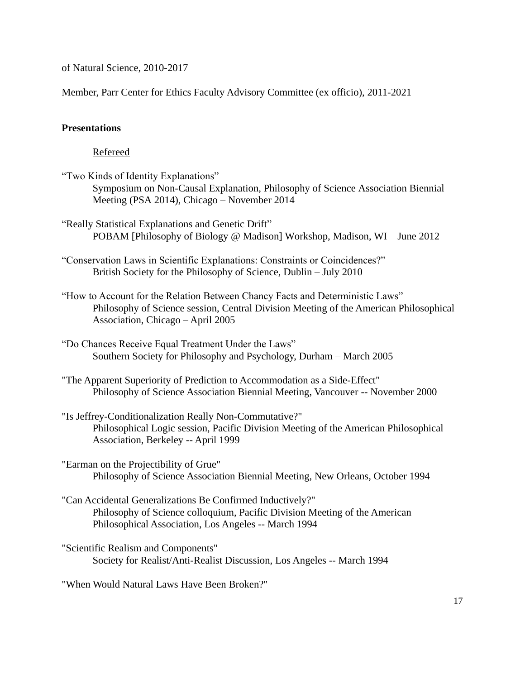of Natural Science, 2010-2017

Member, Parr Center for Ethics Faculty Advisory Committee (ex officio), 2011-2021

## **Presentations**

Refereed

- "Two Kinds of Identity Explanations" Symposium on Non-Causal Explanation, Philosophy of Science Association Biennial Meeting (PSA 2014), Chicago – November 2014
- "Really Statistical Explanations and Genetic Drift" POBAM [Philosophy of Biology @ Madison] Workshop, Madison, WI – June 2012
- "Conservation Laws in Scientific Explanations: Constraints or Coincidences?" British Society for the Philosophy of Science, Dublin – July 2010
- "How to Account for the Relation Between Chancy Facts and Deterministic Laws" Philosophy of Science session, Central Division Meeting of the American Philosophical Association, Chicago – April 2005
- "Do Chances Receive Equal Treatment Under the Laws" Southern Society for Philosophy and Psychology, Durham – March 2005
- "The Apparent Superiority of Prediction to Accommodation as a Side-Effect" Philosophy of Science Association Biennial Meeting, Vancouver -- November 2000
- "Is Jeffrey-Conditionalization Really Non-Commutative?" Philosophical Logic session, Pacific Division Meeting of the American Philosophical Association, Berkeley -- April 1999
- "Earman on the Projectibility of Grue" Philosophy of Science Association Biennial Meeting, New Orleans, October 1994
- "Can Accidental Generalizations Be Confirmed Inductively?" Philosophy of Science colloquium, Pacific Division Meeting of the American Philosophical Association, Los Angeles -- March 1994
- "Scientific Realism and Components" Society for Realist/Anti-Realist Discussion, Los Angeles -- March 1994

"When Would Natural Laws Have Been Broken?"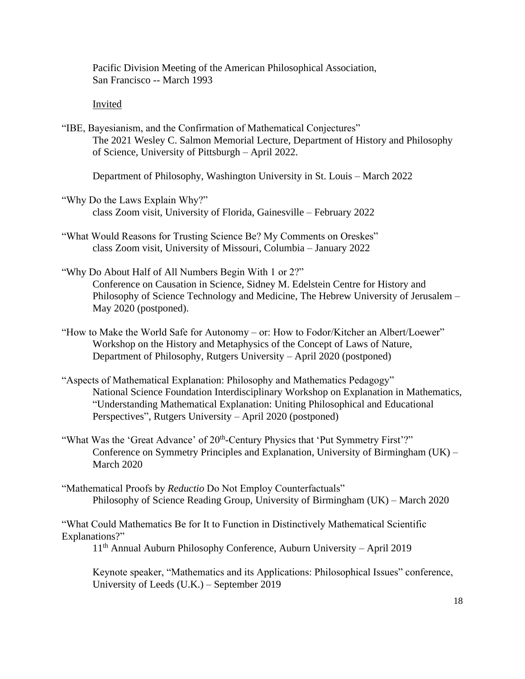Pacific Division Meeting of the American Philosophical Association, San Francisco -- March 1993

## Invited

"IBE, Bayesianism, and the Confirmation of Mathematical Conjectures" The 2021 Wesley C. Salmon Memorial Lecture, Department of History and Philosophy of Science, University of Pittsburgh – April 2022.

Department of Philosophy, Washington University in St. Louis – March 2022

- "Why Do the Laws Explain Why?" class Zoom visit, University of Florida, Gainesville – February 2022
- "What Would Reasons for Trusting Science Be? My Comments on Oreskes" class Zoom visit, University of Missouri, Columbia – January 2022
- "Why Do About Half of All Numbers Begin With 1 or 2?" Conference on Causation in Science, Sidney M. Edelstein Centre for History and Philosophy of Science Technology and Medicine, The Hebrew University of Jerusalem – May 2020 (postponed).
- "How to Make the World Safe for Autonomy or: How to Fodor/Kitcher an Albert/Loewer" Workshop on the History and Metaphysics of the Concept of Laws of Nature, Department of Philosophy, Rutgers University – April 2020 (postponed)
- "Aspects of Mathematical Explanation: Philosophy and Mathematics Pedagogy" National Science Foundation Interdisciplinary Workshop on Explanation in Mathematics, "Understanding Mathematical Explanation: Uniting Philosophical and Educational Perspectives", Rutgers University – April 2020 (postponed)
- "What Was the 'Great Advance' of 20<sup>th</sup>-Century Physics that 'Put Symmetry First'?" Conference on Symmetry Principles and Explanation, University of Birmingham (UK) – March 2020
- "Mathematical Proofs by *Reductio* Do Not Employ Counterfactuals" Philosophy of Science Reading Group, University of Birmingham (UK) – March 2020

"What Could Mathematics Be for It to Function in Distinctively Mathematical Scientific Explanations?"

11th Annual Auburn Philosophy Conference, Auburn University – April 2019

Keynote speaker, "Mathematics and its Applications: Philosophical Issues" conference, University of Leeds (U.K.) – September 2019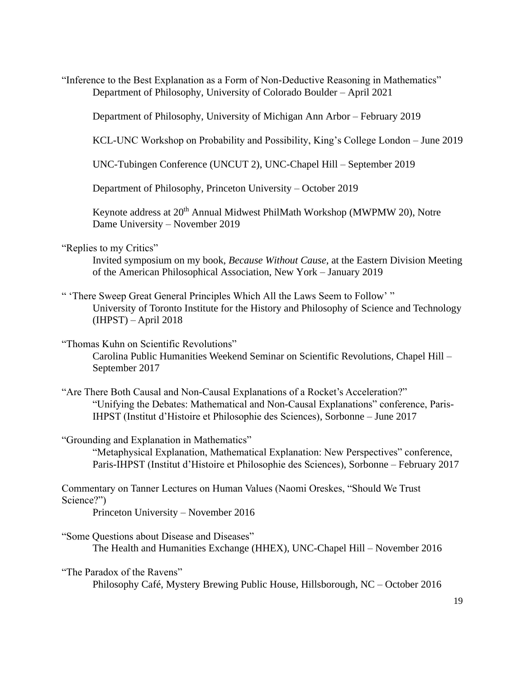"Inference to the Best Explanation as a Form of Non-Deductive Reasoning in Mathematics" Department of Philosophy, University of Colorado Boulder – April 2021

Department of Philosophy, University of Michigan Ann Arbor – February 2019

KCL-UNC Workshop on Probability and Possibility, King's College London – June 2019

UNC-Tubingen Conference (UNCUT 2), UNC-Chapel Hill – September 2019

Department of Philosophy, Princeton University – October 2019

Keynote address at 20<sup>th</sup> Annual Midwest PhilMath Workshop (MWPMW 20), Notre Dame University – November 2019

## "Replies to my Critics"

Invited symposium on my book, *Because Without Cause*, at the Eastern Division Meeting of the American Philosophical Association, New York – January 2019

" 'There Sweep Great General Principles Which All the Laws Seem to Follow' " University of Toronto Institute for the History and Philosophy of Science and Technology (IHPST) – April 2018

"Thomas Kuhn on Scientific Revolutions" Carolina Public Humanities Weekend Seminar on Scientific Revolutions, Chapel Hill –

September 2017

"Are There Both Causal and Non-Causal Explanations of a Rocket's Acceleration?" "Unifying the Debates: Mathematical and Non-Causal Explanations" conference, Paris-IHPST (Institut d'Histoire et Philosophie des Sciences), Sorbonne – June 2017

#### "Grounding and Explanation in Mathematics"

"Metaphysical Explanation, Mathematical Explanation: New Perspectives" conference, Paris-IHPST (Institut d'Histoire et Philosophie des Sciences), Sorbonne – February 2017

Commentary on Tanner Lectures on Human Values (Naomi Oreskes, "Should We Trust Science?")

Princeton University – November 2016

"Some Questions about Disease and Diseases" The Health and Humanities Exchange (HHEX), UNC-Chapel Hill – November 2016

"The Paradox of the Ravens"

Philosophy Café, Mystery Brewing Public House, Hillsborough, NC – October 2016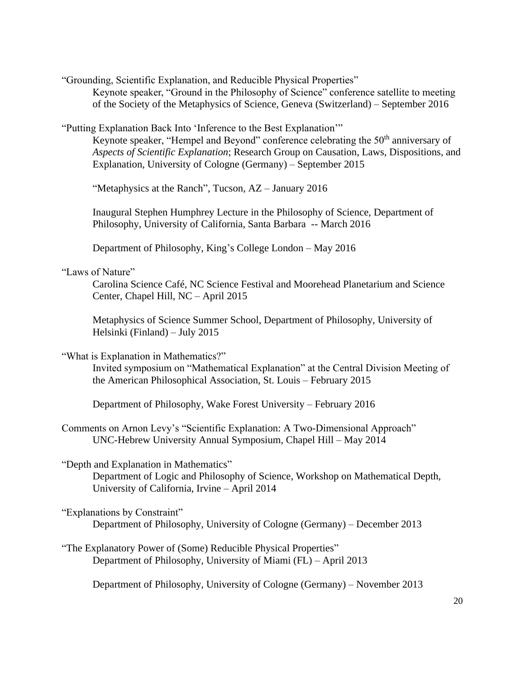"Grounding, Scientific Explanation, and Reducible Physical Properties"

Keynote speaker, "Ground in the Philosophy of Science" conference satellite to meeting of the Society of the Metaphysics of Science, Geneva (Switzerland) – September 2016

"Putting Explanation Back Into 'Inference to the Best Explanation'"

Keynote speaker, "Hempel and Beyond" conference celebrating the 50<sup>th</sup> anniversary of *Aspects of Scientific Explanation*; Research Group on Causation, Laws, Dispositions, and Explanation, University of Cologne (Germany) – September 2015

"Metaphysics at the Ranch", Tucson, AZ – January 2016

Inaugural Stephen Humphrey Lecture in the Philosophy of Science, Department of Philosophy, University of California, Santa Barbara -- March 2016

Department of Philosophy, King's College London – May 2016

## "Laws of Nature"

Carolina Science Café, NC Science Festival and Moorehead Planetarium and Science Center, Chapel Hill, NC – April 2015

Metaphysics of Science Summer School, Department of Philosophy, University of Helsinki (Finland) – July 2015

"What is Explanation in Mathematics?"

Invited symposium on "Mathematical Explanation" at the Central Division Meeting of the American Philosophical Association, St. Louis – February 2015

Department of Philosophy, Wake Forest University – February 2016

Comments on Arnon Levy's "Scientific Explanation: A Two-Dimensional Approach" UNC-Hebrew University Annual Symposium, Chapel Hill – May 2014

"Depth and Explanation in Mathematics"

Department of Logic and Philosophy of Science, Workshop on Mathematical Depth, University of California, Irvine – April 2014

"Explanations by Constraint"

Department of Philosophy, University of Cologne (Germany) – December 2013

"The Explanatory Power of (Some) Reducible Physical Properties" Department of Philosophy, University of Miami (FL) – April 2013

Department of Philosophy, University of Cologne (Germany) – November 2013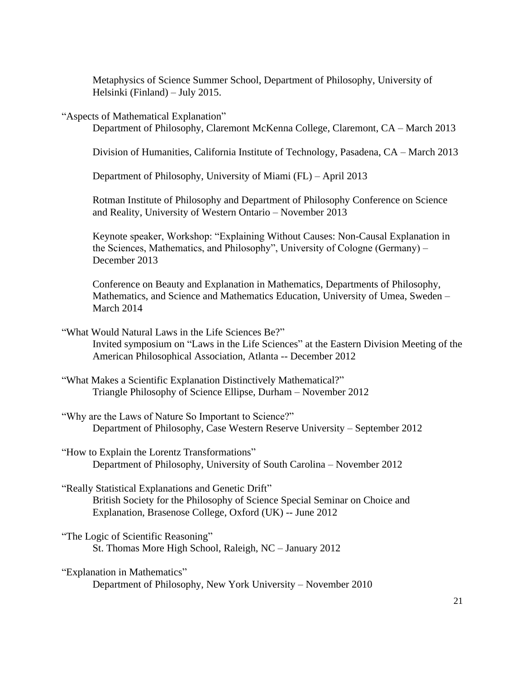Metaphysics of Science Summer School, Department of Philosophy, University of Helsinki (Finland) – July 2015.

"Aspects of Mathematical Explanation"

Department of Philosophy, Claremont McKenna College, Claremont, CA – March 2013

Division of Humanities, California Institute of Technology, Pasadena, CA – March 2013

Department of Philosophy, University of Miami (FL) – April 2013

Rotman Institute of Philosophy and Department of Philosophy Conference on Science and Reality, University of Western Ontario – November 2013

Keynote speaker, Workshop: "Explaining Without Causes: Non-Causal Explanation in the Sciences, Mathematics, and Philosophy", University of Cologne (Germany) – December 2013

Conference on Beauty and Explanation in Mathematics, Departments of Philosophy, Mathematics, and Science and Mathematics Education, University of Umea, Sweden – March 2014

"What Would Natural Laws in the Life Sciences Be?" Invited symposium on "Laws in the Life Sciences" at the Eastern Division Meeting of the American Philosophical Association, Atlanta -- December 2012

- "What Makes a Scientific Explanation Distinctively Mathematical?" Triangle Philosophy of Science Ellipse, Durham – November 2012
- "Why are the Laws of Nature So Important to Science?" Department of Philosophy, Case Western Reserve University – September 2012
- "How to Explain the Lorentz Transformations" Department of Philosophy, University of South Carolina – November 2012
- "Really Statistical Explanations and Genetic Drift" British Society for the Philosophy of Science Special Seminar on Choice and Explanation, Brasenose College, Oxford (UK) -- June 2012
- "The Logic of Scientific Reasoning" St. Thomas More High School, Raleigh, NC – January 2012

"Explanation in Mathematics" Department of Philosophy, New York University – November 2010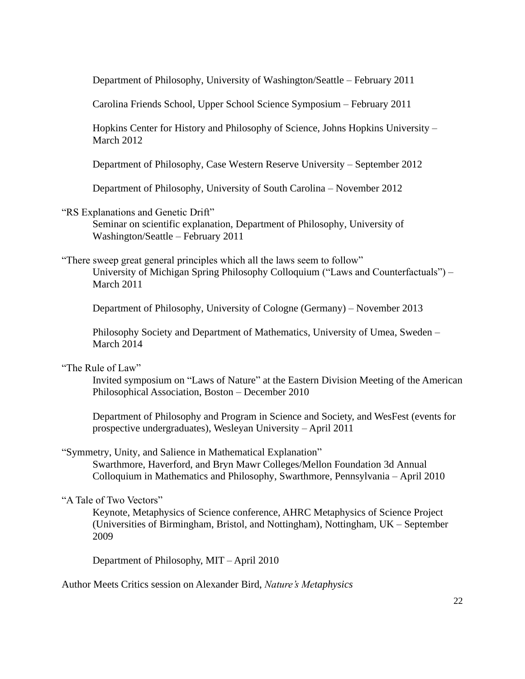Department of Philosophy, University of Washington/Seattle – February 2011

Carolina Friends School, Upper School Science Symposium – February 2011

Hopkins Center for History and Philosophy of Science, Johns Hopkins University – March 2012

Department of Philosophy, Case Western Reserve University – September 2012

Department of Philosophy, University of South Carolina – November 2012

"RS Explanations and Genetic Drift"

Seminar on scientific explanation, Department of Philosophy, University of Washington/Seattle – February 2011

"There sweep great general principles which all the laws seem to follow" University of Michigan Spring Philosophy Colloquium ("Laws and Counterfactuals") – March 2011

Department of Philosophy, University of Cologne (Germany) – November 2013

Philosophy Society and Department of Mathematics, University of Umea, Sweden – March 2014

"The Rule of Law"

Invited symposium on "Laws of Nature" at the Eastern Division Meeting of the American Philosophical Association, Boston – December 2010

Department of Philosophy and Program in Science and Society, and WesFest (events for prospective undergraduates), Wesleyan University – April 2011

"Symmetry, Unity, and Salience in Mathematical Explanation" Swarthmore, Haverford, and Bryn Mawr Colleges/Mellon Foundation 3d Annual Colloquium in Mathematics and Philosophy, Swarthmore, Pennsylvania – April 2010

## "A Tale of Two Vectors"

Keynote, Metaphysics of Science conference, AHRC Metaphysics of Science Project (Universities of Birmingham, Bristol, and Nottingham), Nottingham, UK – September 2009

Department of Philosophy, MIT – April 2010

Author Meets Critics session on Alexander Bird, *Nature's Metaphysics*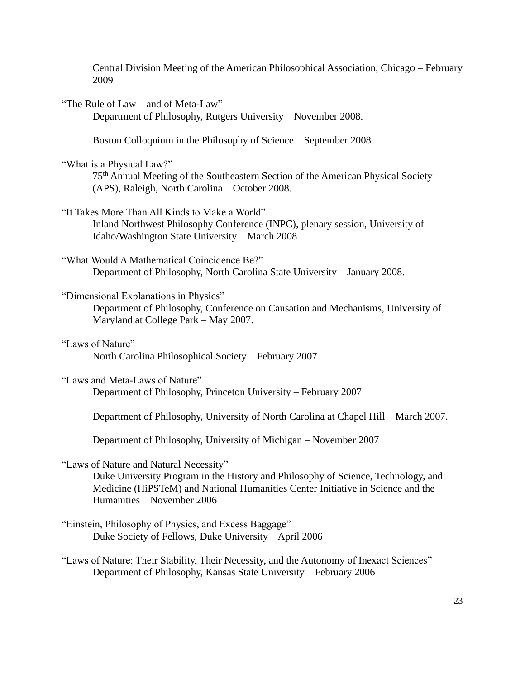Central Division Meeting of the American Philosophical Association, Chicago – February 2009

"The Rule of Law – and of Meta-Law" Department of Philosophy, Rutgers University – November 2008.

Boston Colloquium in the Philosophy of Science – September 2008

"What is a Physical Law?"

75th Annual Meeting of the Southeastern Section of the American Physical Society (APS), Raleigh, North Carolina – October 2008.

"It Takes More Than All Kinds to Make a World" Inland Northwest Philosophy Conference (INPC), plenary session, University of Idaho/Washington State University – March 2008

"What Would A Mathematical Coincidence Be?" Department of Philosophy, North Carolina State University – January 2008.

"Dimensional Explanations in Physics"

Department of Philosophy, Conference on Causation and Mechanisms, University of Maryland at College Park – May 2007.

"Laws of Nature" North Carolina Philosophical Society – February 2007

"Laws and Meta-Laws of Nature"

Department of Philosophy, Princeton University – February 2007

Department of Philosophy, University of North Carolina at Chapel Hill – March 2007.

Department of Philosophy, University of Michigan – November 2007

"Laws of Nature and Natural Necessity"

Duke University Program in the History and Philosophy of Science, Technology, and Medicine (HiPSTeM) and National Humanities Center Initiative in Science and the Humanities – November 2006

"Einstein, Philosophy of Physics, and Excess Baggage" Duke Society of Fellows, Duke University – April 2006

"Laws of Nature: Their Stability, Their Necessity, and the Autonomy of Inexact Sciences" Department of Philosophy, Kansas State University – February 2006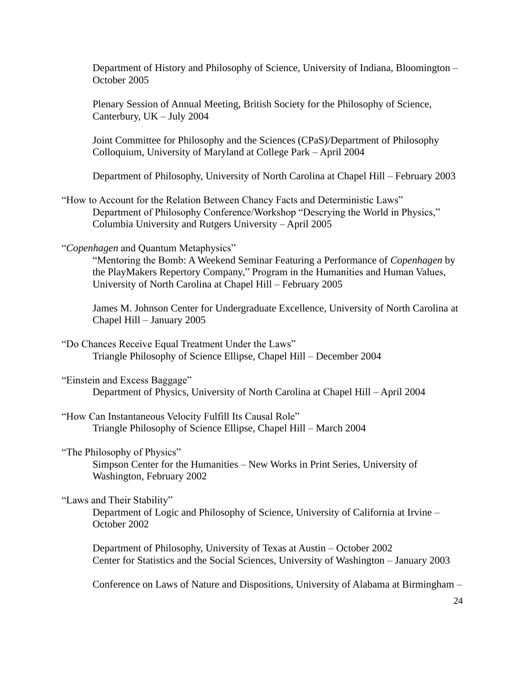Department of History and Philosophy of Science, University of Indiana, Bloomington – October 2005

Plenary Session of Annual Meeting, British Society for the Philosophy of Science, Canterbury, UK – July 2004

Joint Committee for Philosophy and the Sciences (CPaS)/Department of Philosophy Colloquium, University of Maryland at College Park – April 2004

Department of Philosophy, University of North Carolina at Chapel Hill – February 2003

"How to Account for the Relation Between Chancy Facts and Deterministic Laws" Department of Philosophy Conference/Workshop "Descrying the World in Physics," Columbia University and Rutgers University – April 2005

"*Copenhagen* and Quantum Metaphysics"

"Mentoring the Bomb: A Weekend Seminar Featuring a Performance of *Copenhagen* by the PlayMakers Repertory Company," Program in the Humanities and Human Values, University of North Carolina at Chapel Hill – February 2005

James M. Johnson Center for Undergraduate Excellence, University of North Carolina at Chapel Hill – January 2005

"Do Chances Receive Equal Treatment Under the Laws" Triangle Philosophy of Science Ellipse, Chapel Hill – December 2004

"Einstein and Excess Baggage" Department of Physics, University of North Carolina at Chapel Hill – April 2004

"How Can Instantaneous Velocity Fulfill Its Causal Role" Triangle Philosophy of Science Ellipse, Chapel Hill – March 2004

"The Philosophy of Physics" Simpson Center for the Humanities – New Works in Print Series, University of Washington, February 2002

"Laws and Their Stability"

Department of Logic and Philosophy of Science, University of California at Irvine – October 2002

Department of Philosophy, University of Texas at Austin – October 2002 Center for Statistics and the Social Sciences, University of Washington – January 2003

Conference on Laws of Nature and Dispositions, University of Alabama at Birmingham –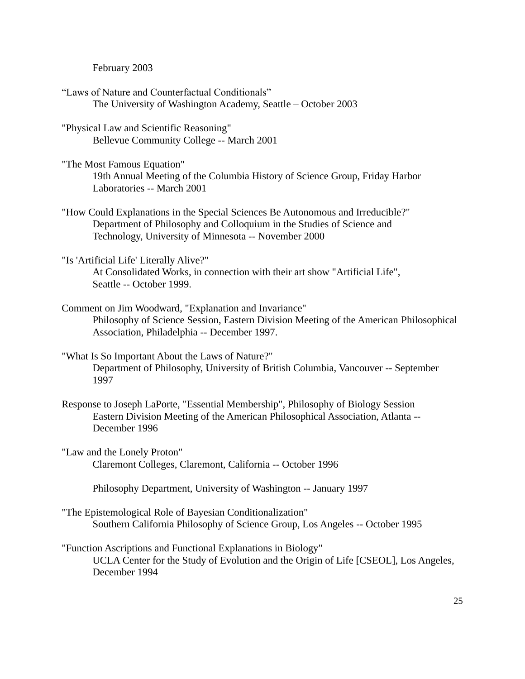February 2003

- "Laws of Nature and Counterfactual Conditionals" The University of Washington Academy, Seattle – October 2003
- "Physical Law and Scientific Reasoning" Bellevue Community College -- March 2001
- "The Most Famous Equation" 19th Annual Meeting of the Columbia History of Science Group, Friday Harbor Laboratories -- March 2001
- "How Could Explanations in the Special Sciences Be Autonomous and Irreducible?" Department of Philosophy and Colloquium in the Studies of Science and Technology, University of Minnesota -- November 2000

"Is 'Artificial Life' Literally Alive?"

At Consolidated Works, in connection with their art show "Artificial Life", Seattle -- October 1999.

- Comment on Jim Woodward, "Explanation and Invariance" Philosophy of Science Session, Eastern Division Meeting of the American Philosophical Association, Philadelphia -- December 1997.
- "What Is So Important About the Laws of Nature?" Department of Philosophy, University of British Columbia, Vancouver -- September 1997
- Response to Joseph LaPorte, "Essential Membership", Philosophy of Biology Session Eastern Division Meeting of the American Philosophical Association, Atlanta -- December 1996
- "Law and the Lonely Proton" Claremont Colleges, Claremont, California -- October 1996

Philosophy Department, University of Washington -- January 1997

- "The Epistemological Role of Bayesian Conditionalization" Southern California Philosophy of Science Group, Los Angeles -- October 1995
- "Function Ascriptions and Functional Explanations in Biology" UCLA Center for the Study of Evolution and the Origin of Life [CSEOL], Los Angeles, December 1994